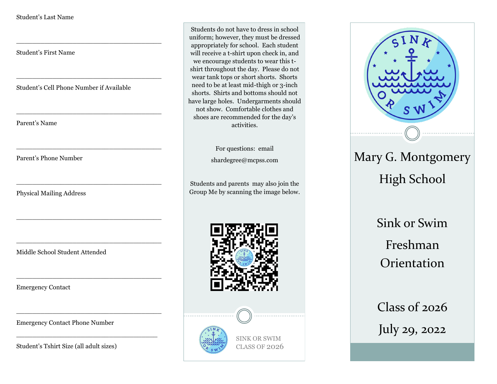Student's First Name

Student's Cell Phone Number if Available

\_\_\_\_\_\_\_\_\_\_\_\_\_\_\_\_\_\_\_\_\_\_\_\_\_\_\_\_\_\_\_\_\_\_\_\_

\_\_\_\_\_\_\_\_\_\_\_\_\_\_\_\_\_\_\_\_\_\_\_\_\_\_\_\_\_\_\_\_\_\_\_\_

\_\_\_\_\_\_\_\_\_\_\_\_\_\_\_\_\_\_\_\_\_\_\_\_\_\_\_\_\_\_\_\_\_\_\_\_

\_\_\_\_\_\_\_\_\_\_\_\_\_\_\_\_\_\_\_\_\_\_\_\_\_\_\_\_\_\_\_\_\_\_\_\_

\_\_\_\_\_\_\_\_\_\_\_\_\_\_\_\_\_\_\_\_\_\_\_\_\_\_\_\_\_\_\_\_\_\_\_\_

\_\_\_\_\_\_\_\_\_\_\_\_\_\_\_\_\_\_\_\_\_\_\_\_\_\_\_\_\_\_\_\_\_\_\_\_

\_\_\_\_\_\_\_\_\_\_\_\_\_\_\_\_\_\_\_\_\_\_\_\_\_\_\_\_\_\_\_\_\_\_\_\_

\_\_\_\_\_\_\_\_\_\_\_\_\_\_\_\_\_\_\_\_\_\_\_\_\_\_\_\_\_\_\_\_\_\_\_\_

\_\_\_\_\_\_\_\_\_\_\_\_\_\_\_\_\_\_\_\_\_\_\_\_\_\_\_\_\_\_\_\_\_\_\_\_

\_\_\_\_\_\_\_\_\_\_\_\_\_\_\_\_\_\_\_\_\_\_\_\_\_\_\_\_\_\_\_\_\_\_\_

Parent's Name

Parent's Phone Number

Physical Mailing Address

Middle School Student Attended

Emergency Contact

Emergency Contact Phone Number

Student's Tshirt Size (all adult sizes)

Students do not have to dress in school uniform; however, they must be dressed appropriately for school. Each student will receive a t-shirt upon check in, and we encourage students to wear this tshirt throughout the day. Please do not wear tank tops or short shorts. Shorts need to be at least mid-thigh or 3-inch shorts. Shirts and bottoms should not have large holes. Undergarments should not show. Comfortable clothes and shoes are recommended for the day's activities.

For questions: email

shardegree@mcpss.com

Students and parents may also join the Group Me by scanning the image below.





Sink or Swim Freshman

**Orientation** 

Class of 2026 July 29, 2022